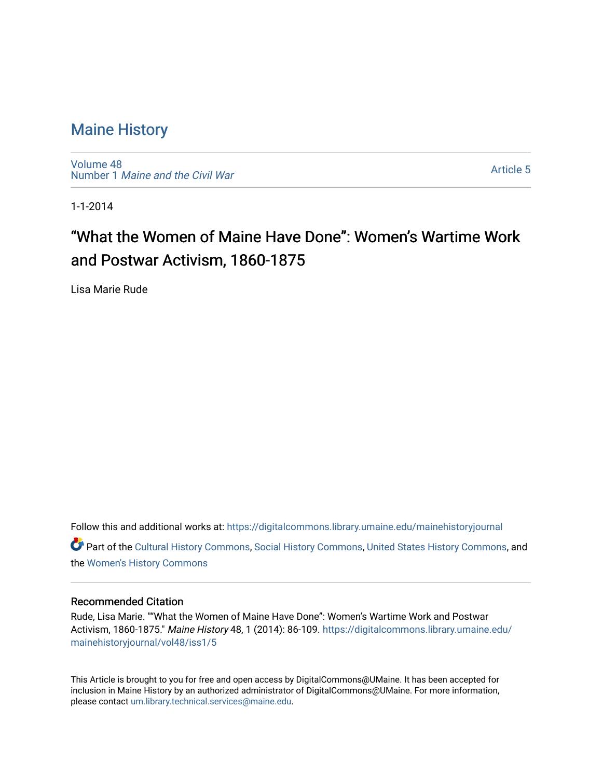### [Maine History](https://digitalcommons.library.umaine.edu/mainehistoryjournal)

[Volume 48](https://digitalcommons.library.umaine.edu/mainehistoryjournal/vol48) Number 1 [Maine and the Civil War](https://digitalcommons.library.umaine.edu/mainehistoryjournal/vol48/iss1)

[Article 5](https://digitalcommons.library.umaine.edu/mainehistoryjournal/vol48/iss1/5) 

1-1-2014

# "What the Women of Maine Have Done": Women's Wartime Work and Postwar Activism, 1860-1875

Lisa Marie Rude

Follow this and additional works at: [https://digitalcommons.library.umaine.edu/mainehistoryjournal](https://digitalcommons.library.umaine.edu/mainehistoryjournal?utm_source=digitalcommons.library.umaine.edu%2Fmainehistoryjournal%2Fvol48%2Fiss1%2F5&utm_medium=PDF&utm_campaign=PDFCoverPages)  Part of the [Cultural History Commons](http://network.bepress.com/hgg/discipline/496?utm_source=digitalcommons.library.umaine.edu%2Fmainehistoryjournal%2Fvol48%2Fiss1%2F5&utm_medium=PDF&utm_campaign=PDFCoverPages), [Social History Commons,](http://network.bepress.com/hgg/discipline/506?utm_source=digitalcommons.library.umaine.edu%2Fmainehistoryjournal%2Fvol48%2Fiss1%2F5&utm_medium=PDF&utm_campaign=PDFCoverPages) [United States History Commons,](http://network.bepress.com/hgg/discipline/495?utm_source=digitalcommons.library.umaine.edu%2Fmainehistoryjournal%2Fvol48%2Fiss1%2F5&utm_medium=PDF&utm_campaign=PDFCoverPages) and the [Women's History Commons](http://network.bepress.com/hgg/discipline/507?utm_source=digitalcommons.library.umaine.edu%2Fmainehistoryjournal%2Fvol48%2Fiss1%2F5&utm_medium=PDF&utm_campaign=PDFCoverPages)

#### Recommended Citation

Rude, Lisa Marie. ""What the Women of Maine Have Done": Women's Wartime Work and Postwar Activism, 1860-1875." Maine History 48, 1 (2014): 86-109. [https://digitalcommons.library.umaine.edu/](https://digitalcommons.library.umaine.edu/mainehistoryjournal/vol48/iss1/5?utm_source=digitalcommons.library.umaine.edu%2Fmainehistoryjournal%2Fvol48%2Fiss1%2F5&utm_medium=PDF&utm_campaign=PDFCoverPages) [mainehistoryjournal/vol48/iss1/5](https://digitalcommons.library.umaine.edu/mainehistoryjournal/vol48/iss1/5?utm_source=digitalcommons.library.umaine.edu%2Fmainehistoryjournal%2Fvol48%2Fiss1%2F5&utm_medium=PDF&utm_campaign=PDFCoverPages)

This Article is brought to you for free and open access by DigitalCommons@UMaine. It has been accepted for inclusion in Maine History by an authorized administrator of DigitalCommons@UMaine. For more information, please contact [um.library.technical.services@maine.edu.](mailto:um.library.technical.services@maine.edu)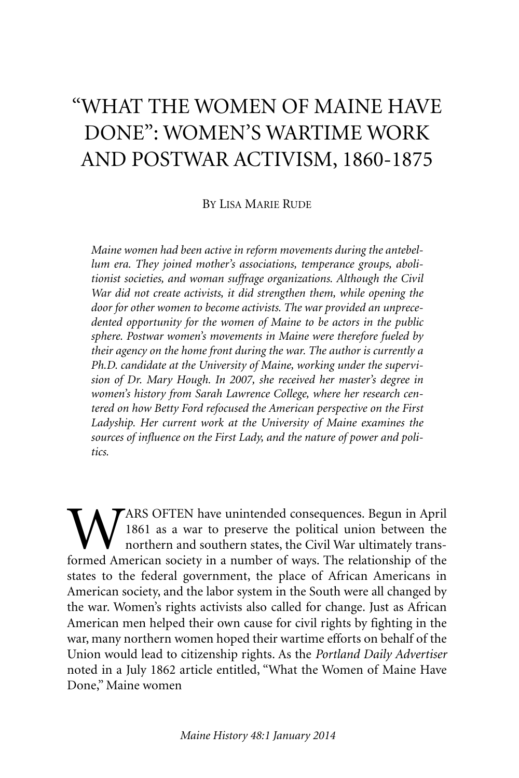## "WHAT THE WOMEN OF MAINE HAVE DONE": WOMEN'S WARTIME WORK AND POSTWAR ACTIVISM, 1860-1875

BY LISA MARIE RUDE

*Maine women had been active in reform movements during the antebellum era. They joined mother's associations, temperance groups, abolitionist societies, and woman suffrage organizations. Although the Civil War did not create activists, it did strengthen them, while opening the door for other women to become activists. The war provided an unprecedented opportunity for the women of Maine to be actors in the public sphere. Postwar women's movements in Maine were therefore fueled by their agency on the home front during the war. The author is currently a Ph.D. candidate at the University of Maine, working under the supervision of Dr. Mary Hough. In 2007, she received her master's degree in women's history from Sarah Lawrence College, where her research centered on how Betty Ford refocused the American perspective on the First Ladyship. Her current work at the University of Maine examines the sources of influence on the First Lady, and the nature of power and politics.*

WARS OFTEN have unintended consequences. Begun in April<br>1861 as a war to preserve the political union between the<br>formed American society in a number of ways. The relationship of the 1861 as a war to preserve the political union between the northern and southern states, the Civil War ultimately transformed American society in a number of ways. The relationship of the states to the federal government, the place of African Americans in American society, and the labor system in the South were all changed by the war. Women's rights activists also called for change. Just as African American men helped their own cause for civil rights by fighting in the war, many northern women hoped their wartime efforts on behalf of the Union would lead to citizenship rights. As the *Portland Daily Advertiser* noted in a July 1862 article entitled, "What the Women of Maine Have Done," Maine women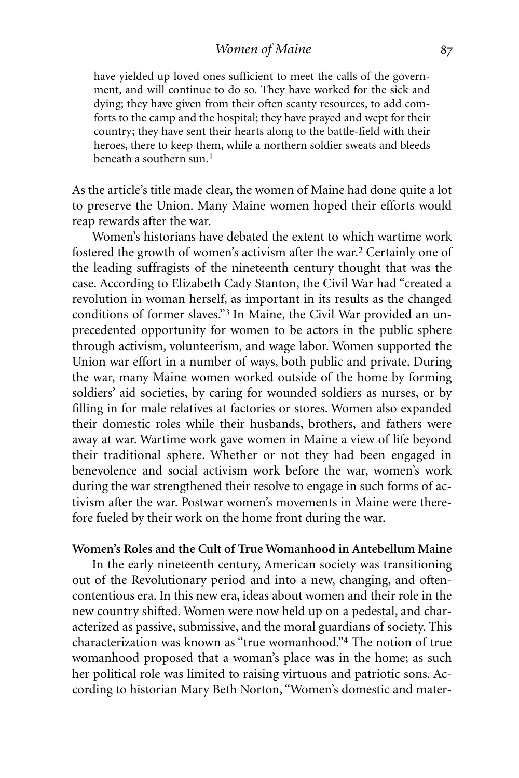#### *Women of Maine*

have yielded up loved ones sufficient to meet the calls of the government, and will continue to do so. They have worked for the sick and dying; they have given from their often scanty resources, to add comforts to the camp and the hospital; they have prayed and wept for their country; they have sent their hearts along to the battle-field with their heroes, there to keep them, while a northern soldier sweats and bleeds beneath a southern sun. 1

As the article's title made clear, the women of Maine had done quite a lot to preserve the Union. Many Maine women hoped their efforts would reap rewards after the war.

Women's historians have debated the extent to which wartime work fostered the growth of women's activism after the war.2 Certainly one of the leading suffragists of the nineteenth century thought that was the case. According to Elizabeth Cady Stanton, the Civil War had "created a revolution in woman herself, as important in its results as the changed conditions of former slaves."3 In Maine, the Civil War provided an unprecedented opportunity for women to be actors in the public sphere through activism, volunteerism, and wage labor. Women supported the Union war effort in a number of ways, both public and private. During the war, many Maine women worked outside of the home by forming soldiers' aid societies, by caring for wounded soldiers as nurses, or by filling in for male relatives at factories or stores. Women also expanded their domestic roles while their husbands, brothers, and fathers were away at war. Wartime work gave women in Maine a view of life beyond their traditional sphere. Whether or not they had been engaged in benevolence and social activism work before the war, women's work during the war strengthened their resolve to engage in such forms of activism after the war. Postwar women's movements in Maine were therefore fueled by their work on the home front during the war.

#### **Women's Roles and the Cult of True Womanhood in Antebellum Maine**

In the early nineteenth century, American society was transitioning out of the Revolutionary period and into a new, changing, and oftencontentious era. In this new era, ideas about women and their role in the new country shifted. Women were now held up on a pedestal, and characterized as passive, submissive, and the moral guardians of society. This characterization was known as "true womanhood."4 The notion of true womanhood proposed that a woman's place was in the home; as such her political role was limited to raising virtuous and patriotic sons. According to historian Mary Beth Norton, "Women's domestic and mater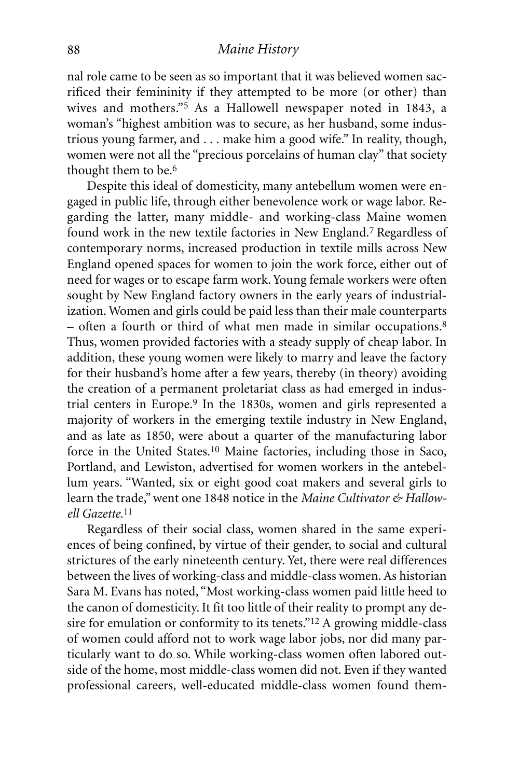nal role came to be seen as so important that it was believed women sacrificed their femininity if they attempted to be more (or other) than wives and mothers."5 As a Hallowell newspaper noted in 1843, a woman's "highest ambition was to secure, as her husband, some industrious young farmer, and . . . make him a good wife." In reality, though, women were not all the "precious porcelains of human clay" that society thought them to be. 6

Despite this ideal of domesticity, many antebellum women were engaged in public life, through either benevolence work or wage labor. Regarding the latter, many middle- and working-class Maine women found work in the new textile factories in New England.7 Regardless of contemporary norms, increased production in textile mills across New England opened spaces for women to join the work force, either out of need for wages or to escape farm work. Young female workers were often sought by New England factory owners in the early years of industrialization. Women and girls could be paid less than their male counterparts – often a fourth or third of what men made in similar occupations. 8 Thus, women provided factories with a steady supply of cheap labor. In addition, these young women were likely to marry and leave the factory for their husband's home after a few years, thereby (in theory) avoiding the creation of a permanent proletariat class as had emerged in industrial centers in Europe.9 In the 1830s, women and girls represented a majority of workers in the emerging textile industry in New England, and as late as 1850, were about a quarter of the manufacturing labor force in the United States.10 Maine factories, including those in Saco, Portland, and Lewiston, advertised for women workers in the antebellum years. "Wanted, six or eight good coat makers and several girls to learn the trade,"went one 1848 notice in the *Maine Cultivator & Hallowell Gazette.* 11

Regardless of their social class, women shared in the same experiences of being confined, by virtue of their gender, to social and cultural strictures of the early nineteenth century. Yet, there were real differences between the lives of working-class and middle-class women. As historian Sara M. Evans has noted, "Most working-class women paid little heed to the canon of domesticity. It fit too little of their reality to prompt any desire for emulation or conformity to its tenets."12 A growing middle-class of women could afford not to work wage labor jobs, nor did many particularly want to do so. While working-class women often labored outside of the home, most middle-class women did not. Even if they wanted professional careers, well-educated middle-class women found them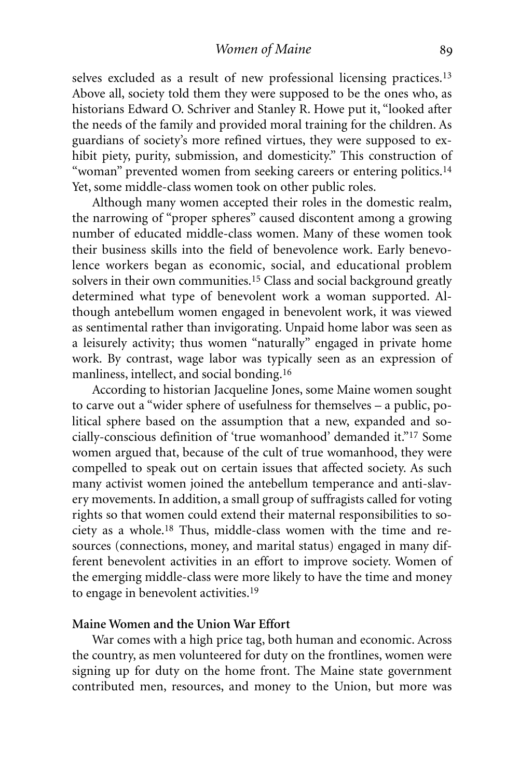selves excluded as a result of new professional licensing practices.<sup>13</sup> Above all, society told them they were supposed to be the ones who, as historians Edward O. Schriver and Stanley R. Howe put it, "looked after the needs of the family and provided moral training for the children. As guardians of society's more refined virtues, they were supposed to exhibit piety, purity, submission, and domesticity." This construction of "woman" prevented women from seeking careers or entering politics.<sup>14</sup> Yet, some middle-class women took on other public roles.

Although many women accepted their roles in the domestic realm, the narrowing of "proper spheres" caused discontent among a growing number of educated middle-class women. Many of these women took their business skills into the field of benevolence work. Early benevolence workers began as economic, social, and educational problem solvers in their own communities.<sup>15</sup> Class and social background greatly determined what type of benevolent work a woman supported. Although antebellum women engaged in benevolent work, it was viewed as sentimental rather than invigorating. Unpaid home labor was seen as a leisurely activity; thus women "naturally" engaged in private home work. By contrast, wage labor was typically seen as an expression of manliness, intellect, and social bonding.16

According to historian Jacqueline Jones, some Maine women sought to carve out a "wider sphere of usefulness for themselves – a public, political sphere based on the assumption that a new, expanded and socially-conscious definition of 'true womanhood' demanded it."17 Some women argued that, because of the cult of true womanhood, they were compelled to speak out on certain issues that affected society. As such many activist women joined the antebellum temperance and anti-slavery movements. In addition, a small group of suffragists called for voting rights so that women could extend their maternal responsibilities to society as a whole. 18 Thus, middle-class women with the time and resources (connections, money, and marital status) engaged in many different benevolent activities in an effort to improve society. Women of the emerging middle-class were more likely to have the time and money to engage in benevolent activities. 19

#### **Maine Women and the Union War Effort**

War comes with a high price tag, both human and economic. Across the country, as men volunteered for duty on the frontlines, women were signing up for duty on the home front. The Maine state government contributed men, resources, and money to the Union, but more was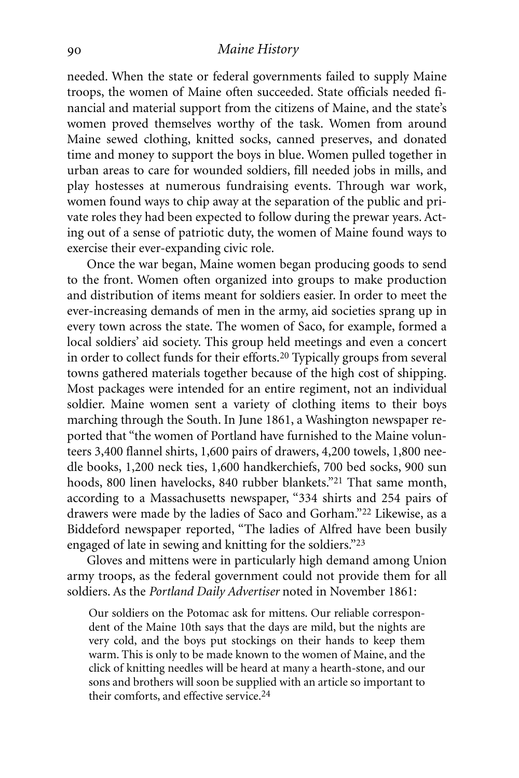#### *Maine History*

needed. When the state or federal governments failed to supply Maine troops, the women of Maine often succeeded. State officials needed financial and material support from the citizens of Maine, and the state's women proved themselves worthy of the task. Women from around Maine sewed clothing, knitted socks, canned preserves, and donated time and money to support the boys in blue. Women pulled together in urban areas to care for wounded soldiers, fill needed jobs in mills, and play hostesses at numerous fundraising events. Through war work, women found ways to chip away at the separation of the public and private roles they had been expected to follow during the prewar years. Acting out of a sense of patriotic duty, the women of Maine found ways to exercise their ever-expanding civic role.

Once the war began, Maine women began producing goods to send to the front. Women often organized into groups to make production and distribution of items meant for soldiers easier. In order to meet the ever-increasing demands of men in the army, aid societies sprang up in every town across the state. The women of Saco, for example, formed a local soldiers' aid society. This group held meetings and even a concert in order to collect funds for their efforts.20 Typically groups from several towns gathered materials together because of the high cost of shipping. Most packages were intended for an entire regiment, not an individual soldier. Maine women sent a variety of clothing items to their boys marching through the South. In June 1861, a Washington newspaper reported that "the women of Portland have furnished to the Maine volunteers 3,400 flannel shirts, 1,600 pairs of drawers, 4,200 towels, 1,800 needle books, 1,200 neck ties, 1,600 handkerchiefs, 700 bed socks, 900 sun hoods, 800 linen havelocks, 840 rubber blankets."21 That same month, according to a Massachusetts newspaper, "334 shirts and 254 pairs of drawers were made by the ladies of Saco and Gorham."22 Likewise, as a Biddeford newspaper reported, "The ladies of Alfred have been busily engaged of late in sewing and knitting for the soldiers."23

Gloves and mittens were in particularly high demand among Union army troops, as the federal government could not provide them for all soldiers. As the *Portland Daily Advertiser* noted in November 1861:

Our soldiers on the Potomac ask for mittens. Our reliable correspondent of the Maine 10th says that the days are mild, but the nights are very cold, and the boys put stockings on their hands to keep them warm. This is only to be made known to the women of Maine, and the click of knitting needles will be heard at many a hearth-stone, and our sons and brothers will soon be supplied with an article so important to their comforts, and effective service. 24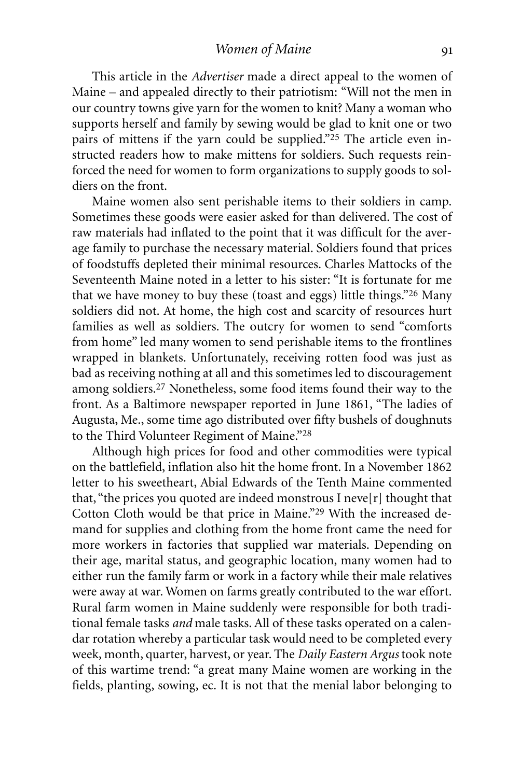*Women of Maine*

This article in the *Advertiser* made a direct appeal to the women of Maine – and appealed directly to their patriotism: "Will not the men in our country towns give yarn for the women to knit? Many a woman who supports herself and family by sewing would be glad to knit one or two pairs of mittens if the yarn could be supplied."25 The article even instructed readers how to make mittens for soldiers. Such requests reinforced the need for women to form organizations to supply goods to soldiers on the front.

Maine women also sent perishable items to their soldiers in camp. Sometimes these goods were easier asked for than delivered. The cost of raw materials had inflated to the point that it was difficult for the average family to purchase the necessary material. Soldiers found that prices of foodstuffs depleted their minimal resources. Charles Mattocks of the Seventeenth Maine noted in a letter to his sister: "It is fortunate for me that we have money to buy these (toast and eggs) little things."26 Many soldiers did not. At home, the high cost and scarcity of resources hurt families as well as soldiers. The outcry for women to send "comforts from home" led many women to send perishable items to the frontlines wrapped in blankets. Unfortunately, receiving rotten food was just as bad as receiving nothing at all and this sometimes led to discouragement among soldiers. 27 Nonetheless, some food items found their way to the front. As a Baltimore newspaper reported in June 1861, "The ladies of Augusta, Me., some time ago distributed over fifty bushels of doughnuts to the Third Volunteer Regiment of Maine."28

Although high prices for food and other commodities were typical on the battlefield, inflation also hit the home front. In a November 1862 letter to his sweetheart, Abial Edwards of the Tenth Maine commented that, "the prices you quoted are indeed monstrous I neve[r] thought that Cotton Cloth would be that price in Maine."29 With the increased demand for supplies and clothing from the home front came the need for more workers in factories that supplied war materials. Depending on their age, marital status, and geographic location, many women had to either run the family farm or work in a factory while their male relatives were away at war. Women on farms greatly contributed to the war effort. Rural farm women in Maine suddenly were responsible for both traditional female tasks *and* male tasks. All of these tasks operated on a calendar rotation whereby a particular task would need to be completed every week, month, quarter, harvest, or year. The *Daily Eastern Argus* took note of this wartime trend: "a great many Maine women are working in the fields, planting, sowing, ec. It is not that the menial labor belonging to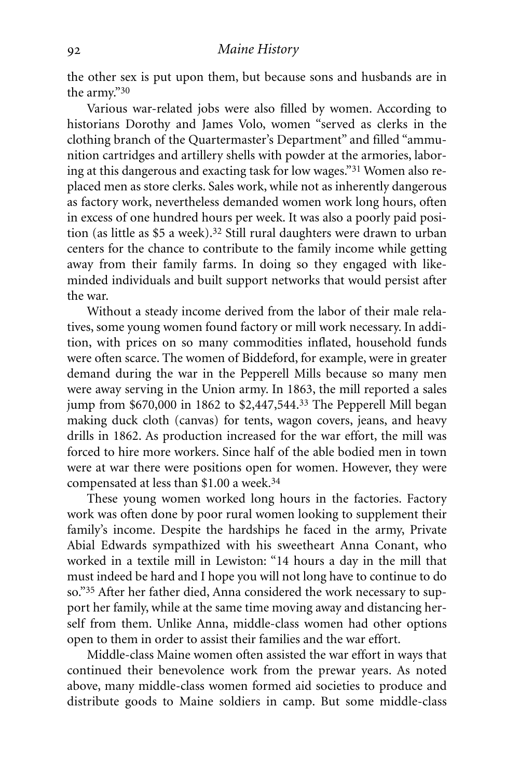the other sex is put upon them, but because sons and husbands are in the army."30

Various war-related jobs were also filled by women. According to historians Dorothy and James Volo, women "served as clerks in the clothing branch of the Quartermaster's Department" and filled "ammunition cartridges and artillery shells with powder at the armories, laboring at this dangerous and exacting task for low wages."31 Women also replaced men as store clerks. Sales work, while not as inherently dangerous as factory work, nevertheless demanded women work long hours, often in excess of one hundred hours per week. It was also a poorly paid position (as little as \$5 a week).<sup>32</sup> Still rural daughters were drawn to urban centers for the chance to contribute to the family income while getting away from their family farms. In doing so they engaged with likeminded individuals and built support networks that would persist after the war.

Without a steady income derived from the labor of their male relatives, some young women found factory or mill work necessary. In addition, with prices on so many commodities inflated, household funds were often scarce. The women of Biddeford, for example, were in greater demand during the war in the Pepperell Mills because so many men were away serving in the Union army. In 1863, the mill reported a sales jump from \$670,000 in 1862 to \$2,447,544. 33 The Pepperell Mill began making duck cloth (canvas) for tents, wagon covers, jeans, and heavy drills in 1862. As production increased for the war effort, the mill was forced to hire more workers. Since half of the able bodied men in town were at war there were positions open for women. However, they were compensated at less than \$1.00 a week. 34

These young women worked long hours in the factories. Factory work was often done by poor rural women looking to supplement their family's income. Despite the hardships he faced in the army, Private Abial Edwards sympathized with his sweetheart Anna Conant, who worked in a textile mill in Lewiston: "14 hours a day in the mill that must indeed be hard and I hope you will not long have to continue to do so."35 After her father died, Anna considered the work necessary to support her family, while at the same time moving away and distancing herself from them. Unlike Anna, middle-class women had other options open to them in order to assist their families and the war effort.

Middle-class Maine women often assisted the war effort in ways that continued their benevolence work from the prewar years. As noted above, many middle-class women formed aid societies to produce and distribute goods to Maine soldiers in camp. But some middle-class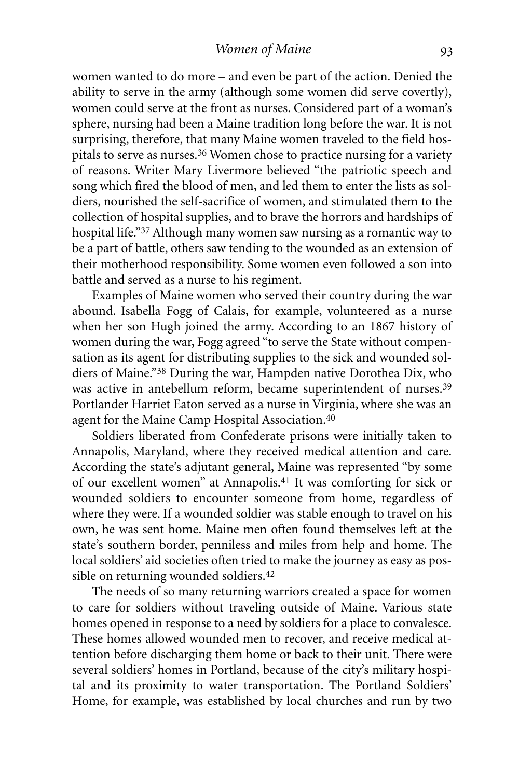women wanted to do more – and even be part of the action. Denied the ability to serve in the army (although some women did serve covertly), women could serve at the front as nurses. Considered part of a woman's sphere, nursing had been a Maine tradition long before the war. It is not surprising, therefore, that many Maine women traveled to the field hospitals to serve as nurses. 36 Women chose to practice nursing for a variety of reasons. Writer Mary Livermore believed "the patriotic speech and song which fired the blood of men, and led them to enter the lists as soldiers, nourished the self-sacrifice of women, and stimulated them to the collection of hospital supplies, and to brave the horrors and hardships of hospital life."37 Although many women saw nursing as a romantic way to be a part of battle, others saw tending to the wounded as an extension of their motherhood responsibility. Some women even followed a son into battle and served as a nurse to his regiment.

Examples of Maine women who served their country during the war abound. Isabella Fogg of Calais, for example, volunteered as a nurse when her son Hugh joined the army. According to an 1867 history of women during the war, Fogg agreed "to serve the State without compensation as its agent for distributing supplies to the sick and wounded soldiers of Maine."38 During the war, Hampden native Dorothea Dix, who was active in antebellum reform, became superintendent of nurses.<sup>39</sup> Portlander Harriet Eaton served as a nurse in Virginia, where she was an agent for the Maine Camp Hospital Association.40

Soldiers liberated from Confederate prisons were initially taken to Annapolis, Maryland, where they received medical attention and care. According the state's adjutant general, Maine was represented "by some of our excellent women" at Annapolis.41 It was comforting for sick or wounded soldiers to encounter someone from home, regardless of where they were. If a wounded soldier was stable enough to travel on his own, he was sent home. Maine men often found themselves left at the state's southern border, penniless and miles from help and home. The local soldiers' aid societies often tried to make the journey as easy as possible on returning wounded soldiers. 42

The needs of so many returning warriors created a space for women to care for soldiers without traveling outside of Maine. Various state homes opened in response to a need by soldiers for a place to convalesce. These homes allowed wounded men to recover, and receive medical attention before discharging them home or back to their unit. There were several soldiers' homes in Portland, because of the city's military hospital and its proximity to water transportation. The Portland Soldiers' Home, for example, was established by local churches and run by two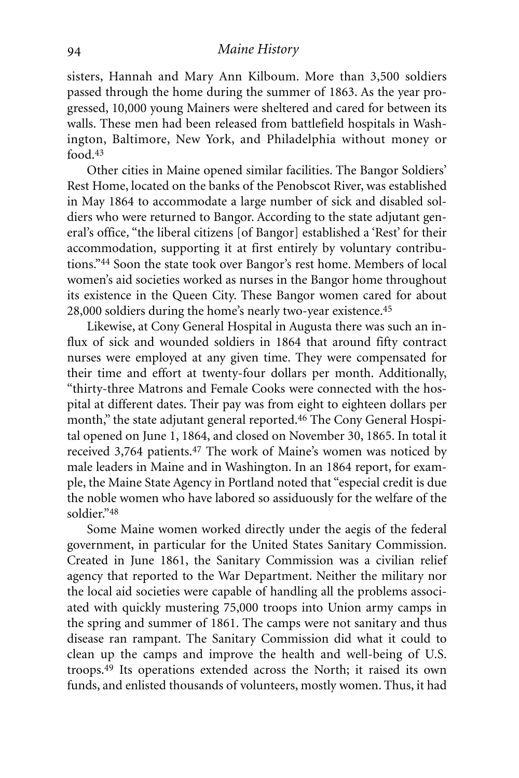sisters, Hannah and Mary Ann Kilboum. More than 3,500 soldiers passed through the home during the summer of 1863. As the year progressed, 10,000 young Mainers were sheltered and cared for between its walls. These men had been released from battlefield hospitals in Washington, Baltimore, New York, and Philadelphia without money or food. 43

Other cities in Maine opened similar facilities. The Bangor Soldiers' Rest Home, located on the banks of the Penobscot River, was established in May 1864 to accommodate a large number of sick and disabled soldiers who were returned to Bangor. According to the state adjutant general's office*,* "the liberal citizens [of Bangor] established a 'Rest' for their accommodation, supporting it at first entirely by voluntary contributions."44 Soon the state took over Bangor's rest home. Members of local women's aid societies worked as nurses in the Bangor home throughout its existence in the Queen City. These Bangor women cared for about 28,000 soldiers during the home's nearly two-year existence. 45

Likewise, at Cony General Hospital in Augusta there was such an influx of sick and wounded soldiers in 1864 that around fifty contract nurses were employed at any given time. They were compensated for their time and effort at twenty-four dollars per month. Additionally, "thirty-three Matrons and Female Cooks were connected with the hospital at different dates. Their pay was from eight to eighteen dollars per month," the state adjutant general reported. 46 The Cony General Hospital opened on June 1, 1864, and closed on November 30, 1865. In total it received 3,764 patients.47 The work of Maine's women was noticed by male leaders in Maine and in Washington. In an 1864 report, for example, the Maine State Agency in Portland noted that "especial credit is due the noble women who have labored so assiduously for the welfare of the soldier."48

Some Maine women worked directly under the aegis of the federal government, in particular for the United States Sanitary Commission. Created in June 1861, the Sanitary Commission was a civilian relief agency that reported to the War Department. Neither the military nor the local aid societies were capable of handling all the problems associated with quickly mustering 75,000 troops into Union army camps in the spring and summer of 1861. The camps were not sanitary and thus disease ran rampant. The Sanitary Commission did what it could to clean up the camps and improve the health and well-being of U.S. troops. 49 Its operations extended across the North; it raised its own funds, and enlisted thousands of volunteers, mostly women. Thus, it had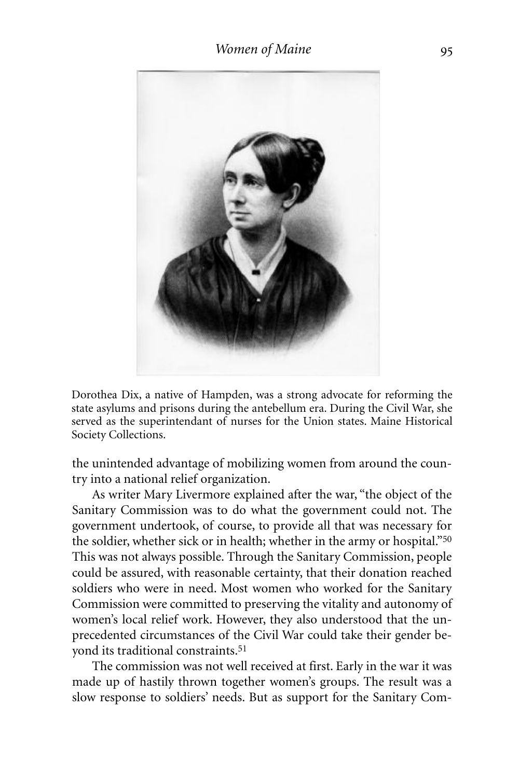

Dorothea Dix, a native of Hampden, was a strong advocate for reforming the state asylums and prisons during the antebellum era. During the Civil War, she served as the superintendant of nurses for the Union states. Maine Historical Society Collections.

the unintended advantage of mobilizing women from around the country into a national relief organization.

As writer Mary Livermore explained after the war, "the object of the Sanitary Commission was to do what the government could not. The government undertook, of course, to provide all that was necessary for the soldier, whether sick or in health; whether in the army or hospital."50 This was not always possible. Through the Sanitary Commission, people could be assured, with reasonable certainty, that their donation reached soldiers who were in need. Most women who worked for the Sanitary Commission were committed to preserving the vitality and autonomy of women's local relief work. However, they also understood that the unprecedented circumstances of the Civil War could take their gender beyond its traditional constraints. 51

The commission was not well received at first. Early in the war it was made up of hastily thrown together women's groups. The result was a slow response to soldiers' needs. But as support for the Sanitary Com-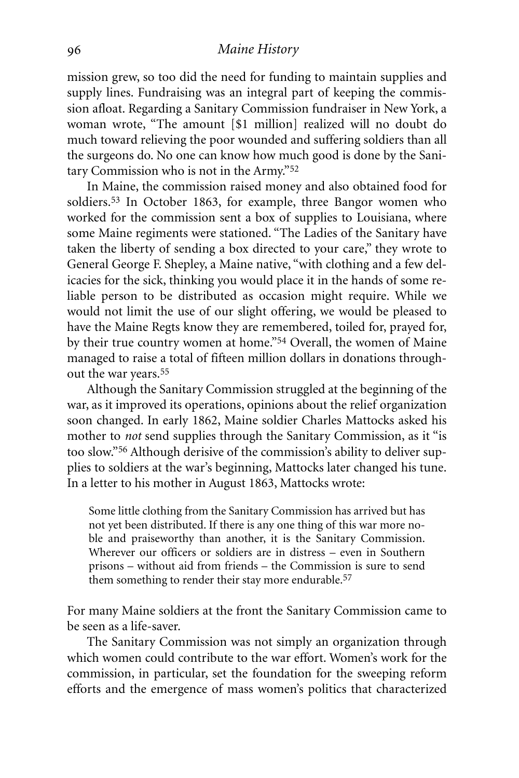#### *Maine History*

mission grew, so too did the need for funding to maintain supplies and supply lines. Fundraising was an integral part of keeping the commission afloat. Regarding a Sanitary Commission fundraiser in New York, a woman wrote, "The amount [\$1 million] realized will no doubt do much toward relieving the poor wounded and suffering soldiers than all the surgeons do. No one can know how much good is done by the Sanitary Commission who is not in the Army."52

In Maine, the commission raised money and also obtained food for soldiers.53 In October 1863, for example, three Bangor women who worked for the commission sent a box of supplies to Louisiana, where some Maine regiments were stationed. "The Ladies of the Sanitary have taken the liberty of sending a box directed to your care," they wrote to General George F. Shepley, a Maine native, "with clothing and a few delicacies for the sick, thinking you would place it in the hands of some reliable person to be distributed as occasion might require. While we would not limit the use of our slight offering, we would be pleased to have the Maine Regts know they are remembered, toiled for, prayed for, by their true country women at home."54 Overall, the women of Maine managed to raise a total of fifteen million dollars in donations throughout the war years. 55

Although the Sanitary Commission struggled at the beginning of the war, as it improved its operations, opinions about the relief organization soon changed. In early 1862, Maine soldier Charles Mattocks asked his mother to *not* send supplies through the Sanitary Commission, as it "is too slow."56 Although derisive of the commission's ability to deliver supplies to soldiers at the war's beginning, Mattocks later changed his tune. In a letter to his mother in August 1863, Mattocks wrote:

Some little clothing from the Sanitary Commission has arrived but has not yet been distributed. If there is any one thing of this war more noble and praiseworthy than another, it is the Sanitary Commission. Wherever our officers or soldiers are in distress – even in Southern prisons – without aid from friends – the Commission is sure to send them something to render their stay more endurable. 57

For many Maine soldiers at the front the Sanitary Commission came to be seen as a life-saver.

The Sanitary Commission was not simply an organization through which women could contribute to the war effort. Women's work for the commission, in particular, set the foundation for the sweeping reform efforts and the emergence of mass women's politics that characterized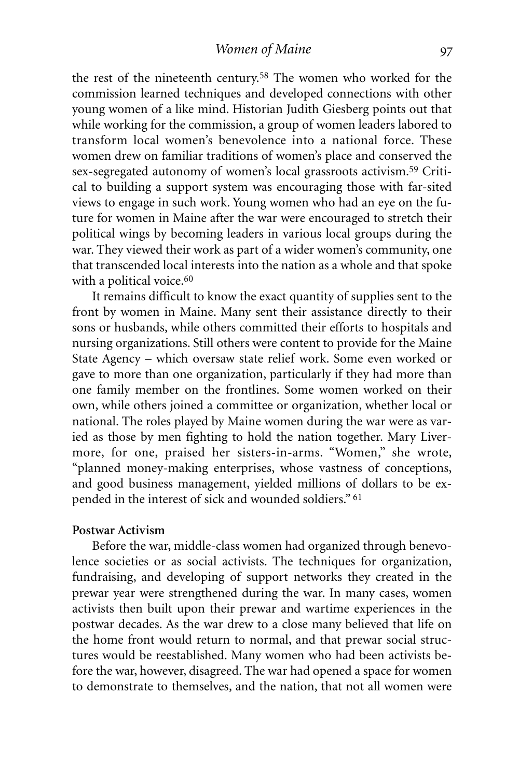the rest of the nineteenth century.58 The women who worked for the commission learned techniques and developed connections with other young women of a like mind. Historian Judith Giesberg points out that while working for the commission, a group of women leaders labored to transform local women's benevolence into a national force. These women drew on familiar traditions of women's place and conserved the sex-segregated autonomy of women's local grassroots activism.<sup>59</sup> Critical to building a support system was encouraging those with far-sited views to engage in such work. Young women who had an eye on the future for women in Maine after the war were encouraged to stretch their political wings by becoming leaders in various local groups during the war. They viewed their work as part of a wider women's community, one that transcended local interests into the nation as a whole and that spoke with a political voice.<sup>60</sup>

It remains difficult to know the exact quantity of supplies sent to the front by women in Maine. Many sent their assistance directly to their sons or husbands, while others committed their efforts to hospitals and nursing organizations. Still others were content to provide for the Maine State Agency – which oversaw state relief work. Some even worked or gave to more than one organization, particularly if they had more than one family member on the frontlines. Some women worked on their own, while others joined a committee or organization, whether local or national. The roles played by Maine women during the war were as varied as those by men fighting to hold the nation together. Mary Livermore, for one, praised her sisters-in-arms. "Women," she wrote, "planned money-making enterprises, whose vastness of conceptions, and good business management, yielded millions of dollars to be expended in the interest of sick and wounded soldiers." 61

#### **Postwar Activism**

Before the war, middle-class women had organized through benevolence societies or as social activists. The techniques for organization, fundraising, and developing of support networks they created in the prewar year were strengthened during the war. In many cases, women activists then built upon their prewar and wartime experiences in the postwar decades. As the war drew to a close many believed that life on the home front would return to normal, and that prewar social structures would be reestablished. Many women who had been activists before the war, however, disagreed. The war had opened a space for women to demonstrate to themselves, and the nation, that not all women were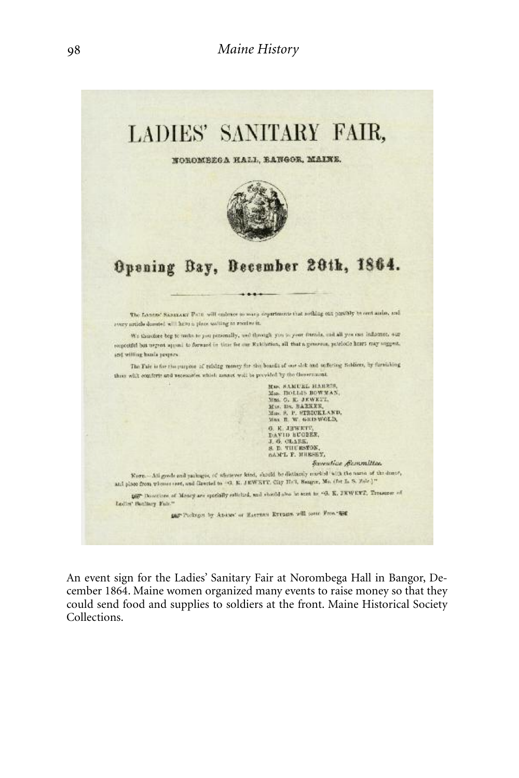

An event sign for the Ladies' Sanitary Fair at Norombega Hall in Bangor, December 1864. Maine women organized many events to raise money so that they could send food and supplies to soldiers at the front. Maine Historical Society Collections.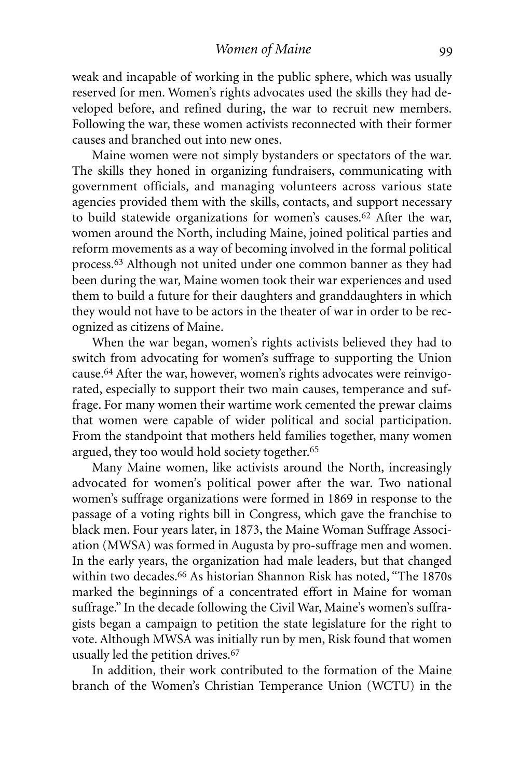weak and incapable of working in the public sphere, which was usually reserved for men. Women's rights advocates used the skills they had developed before, and refined during, the war to recruit new members. Following the war, these women activists reconnected with their former causes and branched out into new ones.

Maine women were not simply bystanders or spectators of the war. The skills they honed in organizing fundraisers, communicating with government officials, and managing volunteers across various state agencies provided them with the skills, contacts, and support necessary to build statewide organizations for women's causes.62 After the war, women around the North, including Maine, joined political parties and reform movements as a way of becoming involved in the formal political process.63 Although not united under one common banner as they had been during the war, Maine women took their war experiences and used them to build a future for their daughters and granddaughters in which they would not have to be actors in the theater of war in order to be recognized as citizens of Maine.

When the war began, women's rights activists believed they had to switch from advocating for women's suffrage to supporting the Union cause. 64 After the war, however, women's rights advocates were reinvigorated, especially to support their two main causes, temperance and suffrage. For many women their wartime work cemented the prewar claims that women were capable of wider political and social participation. From the standpoint that mothers held families together, many women argued, they too would hold society together. 65

Many Maine women, like activists around the North, increasingly advocated for women's political power after the war. Two national women's suffrage organizations were formed in 1869 in response to the passage of a voting rights bill in Congress, which gave the franchise to black men. Four years later, in 1873, the Maine Woman Suffrage Association (MWSA) was formed in Augusta by pro-suffrage men and women. In the early years, the organization had male leaders, but that changed within two decades. 66 As historian Shannon Risk has noted, "The 1870s marked the beginnings of a concentrated effort in Maine for woman suffrage." In the decade following the Civil War, Maine's women's suffragists began a campaign to petition the state legislature for the right to vote. Although MWSA was initially run by men, Risk found that women usually led the petition drives. 67

In addition, their work contributed to the formation of the Maine branch of the Women's Christian Temperance Union (WCTU) in the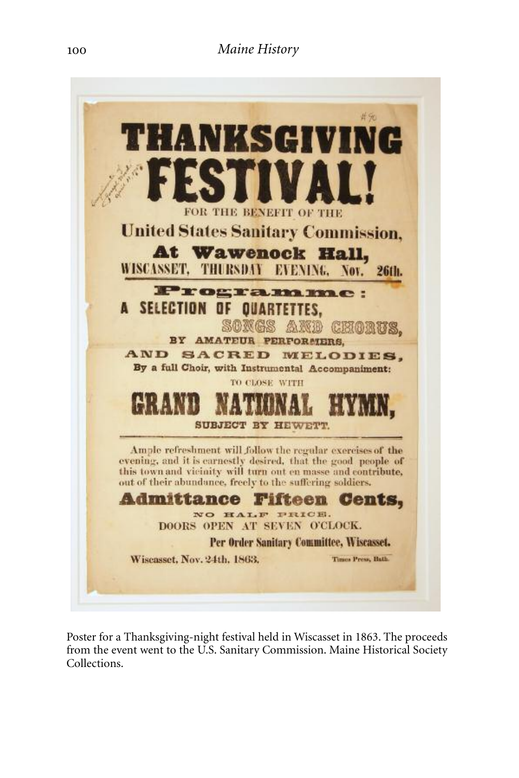

Poster for a Thanksgiving-night festival held in Wiscasset in 1863. The proceeds from the event went to the U.S. Sanitary Commission. Maine Historical Society Collections.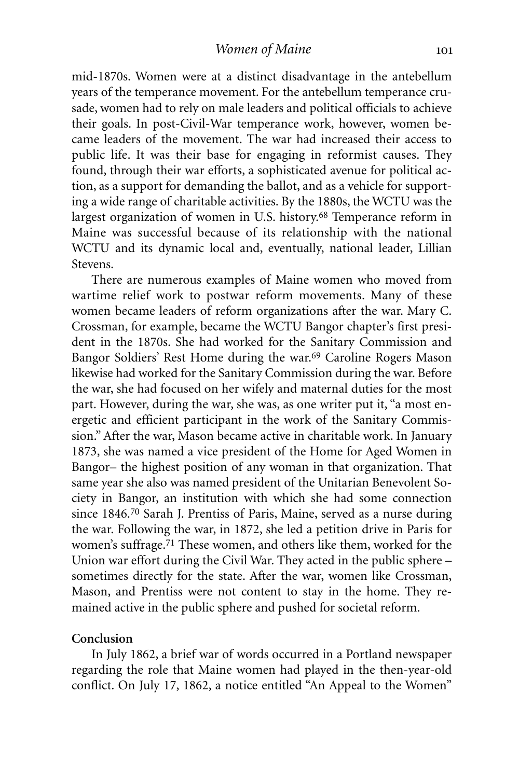mid-1870s. Women were at a distinct disadvantage in the antebellum years of the temperance movement. For the antebellum temperance crusade, women had to rely on male leaders and political officials to achieve their goals. In post-Civil-War temperance work, however, women became leaders of the movement. The war had increased their access to public life. It was their base for engaging in reformist causes. They found, through their war efforts, a sophisticated avenue for political action, as a support for demanding the ballot, and as a vehicle for supporting a wide range of charitable activities. By the 1880s, the WCTU was the largest organization of women in U.S. history. 68 Temperance reform in Maine was successful because of its relationship with the national WCTU and its dynamic local and, eventually, national leader, Lillian Stevens.

There are numerous examples of Maine women who moved from wartime relief work to postwar reform movements. Many of these women became leaders of reform organizations after the war. Mary C. Crossman, for example, became the WCTU Bangor chapter's first president in the 1870s. She had worked for the Sanitary Commission and Bangor Soldiers' Rest Home during the war.69 Caroline Rogers Mason likewise had worked for the Sanitary Commission during the war. Before the war, she had focused on her wifely and maternal duties for the most part. However, during the war, she was, as one writer put it, "a most energetic and efficient participant in the work of the Sanitary Commission." After the war, Mason became active in charitable work. In January 1873, she was named a vice president of the Home for Aged Women in Bangor– the highest position of any woman in that organization. That same year she also was named president of the Unitarian Benevolent Society in Bangor, an institution with which she had some connection since 1846. 70 Sarah J. Prentiss of Paris, Maine, served as a nurse during the war. Following the war, in 1872, she led a petition drive in Paris for women's suffrage. 71 These women, and others like them, worked for the Union war effort during the Civil War. They acted in the public sphere – sometimes directly for the state. After the war, women like Crossman, Mason, and Prentiss were not content to stay in the home. They remained active in the public sphere and pushed for societal reform.

#### **Conclusion**

In July 1862, a brief war of words occurred in a Portland newspaper regarding the role that Maine women had played in the then-year-old conflict. On July 17, 1862, a notice entitled "An Appeal to the Women"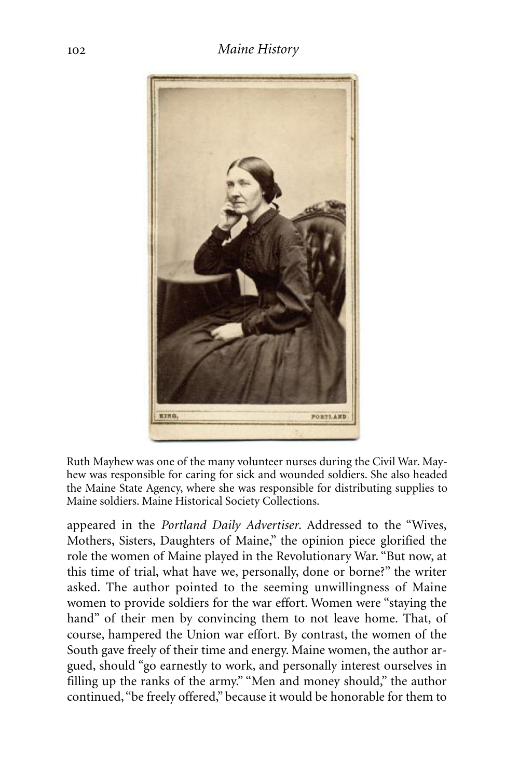### *Maine History*



Ruth Mayhew was one of the many volunteer nurses during the Civil War. Mayhew was responsible for caring for sick and wounded soldiers. She also headed the Maine State Agency, where she was responsible for distributing supplies to Maine soldiers. Maine Historical Society Collections.

appeared in the *Portland Daily Advertiser*. Addressed to the "Wives, Mothers, Sisters, Daughters of Maine," the opinion piece glorified the role the women of Maine played in the Revolutionary War. "But now, at this time of trial, what have we, personally, done or borne?" the writer asked. The author pointed to the seeming unwillingness of Maine women to provide soldiers for the war effort. Women were "staying the hand" of their men by convincing them to not leave home. That, of course, hampered the Union war effort. By contrast, the women of the South gave freely of their time and energy. Maine women, the author argued, should "go earnestly to work, and personally interest ourselves in filling up the ranks of the army." "Men and money should," the author continued, "be freely offered," because it would be honorable for them to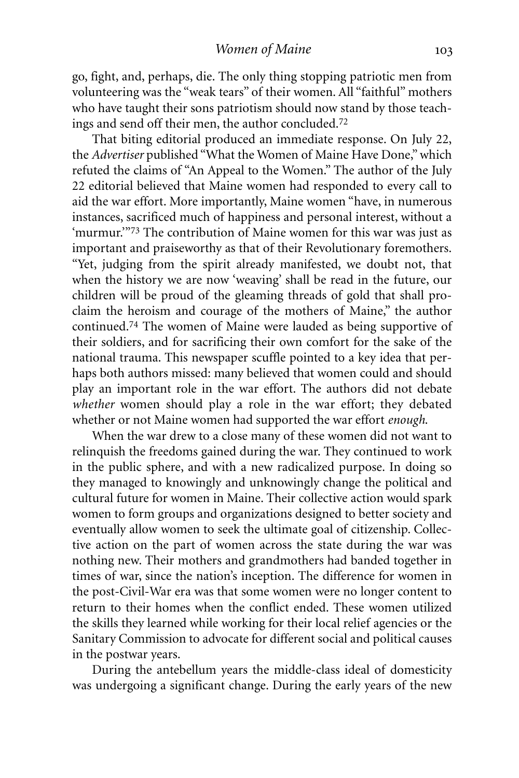go, fight, and, perhaps, die. The only thing stopping patriotic men from volunteering was the "weak tears" of their women. All "faithful" mothers who have taught their sons patriotism should now stand by those teachings and send off their men, the author concluded. 72

That biting editorial produced an immediate response. On July 22, the *Advertiser* published "What the Women of Maine Have Done,"which refuted the claims of "An Appeal to the Women." The author of the July 22 editorial believed that Maine women had responded to every call to aid the war effort. More importantly, Maine women "have, in numerous instances, sacrificed much of happiness and personal interest, without a 'murmur.'"73 The contribution of Maine women for this war was just as important and praiseworthy as that of their Revolutionary foremothers. "Yet, judging from the spirit already manifested, we doubt not, that when the history we are now 'weaving' shall be read in the future, our children will be proud of the gleaming threads of gold that shall proclaim the heroism and courage of the mothers of Maine," the author continued. 74 The women of Maine were lauded as being supportive of their soldiers, and for sacrificing their own comfort for the sake of the national trauma. This newspaper scuffle pointed to a key idea that perhaps both authors missed: many believed that women could and should play an important role in the war effort. The authors did not debate *whether* women should play a role in the war effort; they debated whether or not Maine women had supported the war effort *enough*.

When the war drew to a close many of these women did not want to relinquish the freedoms gained during the war. They continued to work in the public sphere, and with a new radicalized purpose. In doing so they managed to knowingly and unknowingly change the political and cultural future for women in Maine. Their collective action would spark women to form groups and organizations designed to better society and eventually allow women to seek the ultimate goal of citizenship. Collective action on the part of women across the state during the war was nothing new. Their mothers and grandmothers had banded together in times of war, since the nation's inception. The difference for women in the post-Civil-War era was that some women were no longer content to return to their homes when the conflict ended. These women utilized the skills they learned while working for their local relief agencies or the Sanitary Commission to advocate for different social and political causes in the postwar years.

During the antebellum years the middle-class ideal of domesticity was undergoing a significant change. During the early years of the new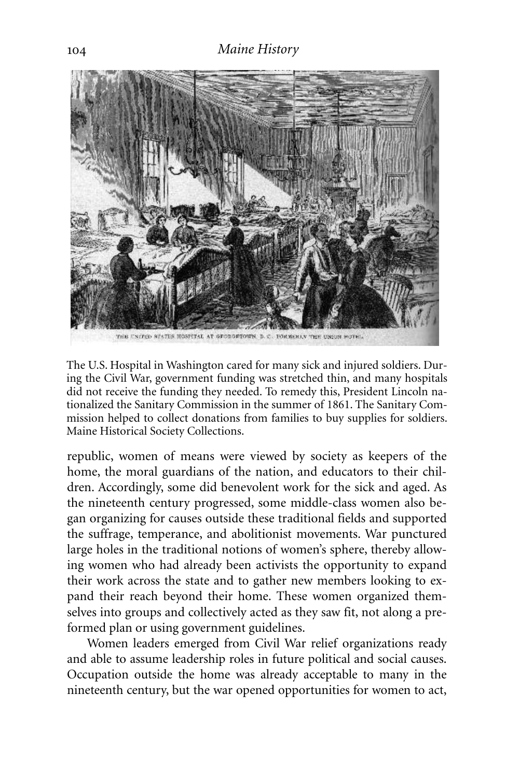

The U.S. Hospital in Washington cared for many sick and injured soldiers. During the Civil War, government funding was stretched thin, and many hospitals did not receive the funding they needed. To remedy this, President Lincoln nationalized the Sanitary Commission in the summer of 1861. The Sanitary Commission helped to collect donations from families to buy supplies for soldiers. Maine Historical Society Collections.

republic, women of means were viewed by society as keepers of the home, the moral guardians of the nation, and educators to their children. Accordingly, some did benevolent work for the sick and aged. As the nineteenth century progressed, some middle-class women also began organizing for causes outside these traditional fields and supported the suffrage, temperance, and abolitionist movements. War punctured large holes in the traditional notions of women's sphere, thereby allowing women who had already been activists the opportunity to expand their work across the state and to gather new members looking to expand their reach beyond their home. These women organized themselves into groups and collectively acted as they saw fit, not along a preformed plan or using government guidelines.

Women leaders emerged from Civil War relief organizations ready and able to assume leadership roles in future political and social causes. Occupation outside the home was already acceptable to many in the nineteenth century, but the war opened opportunities for women to act,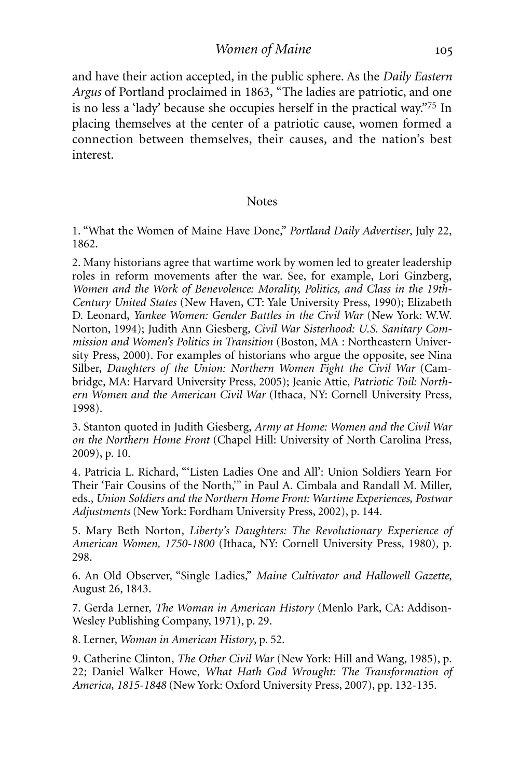*Women of Maine*

and have their action accepted, in the public sphere. As the *Daily Eastern Argus* of Portland proclaimed in 1863, "The ladies are patriotic, and one is no less a 'lady' because she occupies herself in the practical way."75 In placing themselves at the center of a patriotic cause, women formed a connection between themselves, their causes, and the nation's best interest.

#### **Notes**

1. "What the Women of Maine Have Done," *Portland Daily Advertiser*, July 22, 1862.

2. Many historians agree that wartime work by women led to greater leadership roles in reform movements after the war. See, for example, Lori Ginzberg, *Women and the Work of Benevolence: Morality, Politics, and Class in the 19th-Century United States* (New Haven, CT: Yale University Press, 1990); Elizabeth D. Leonard, *Yankee Women: Gender Battles in the Civil War* (New York: W.W. Norton, 1994); Judith Ann Giesberg*, Civil War Sisterhood: U.S. Sanitary Commission and Women's Politics in Transition* (Boston, MA : Northeastern University Press, 2000). For examples of historians who argue the opposite, see Nina Silber, *Daughters of the Union: Northern Women Fight the Civil War* (Cambridge, MA: Harvard University Press, 2005); Jeanie Attie, *Patriotic Toil: Northern Women and the American Civil War* (Ithaca, NY: Cornell University Press, 1998).

3. Stanton quoted in Judith Giesberg, *Army at Home: Women and the Civil War on the Northern Home Front* (Chapel Hill: University of North Carolina Press, 2009), p. 10.

4. Patricia L. Richard, "'Listen Ladies One and All': Union Soldiers Yearn For Their 'Fair Cousins of the North,'" in Paul A. Cimbala and Randall M. Miller, eds., *Union Soldiers and the Northern Home Front: Wartime Experiences, Postwar Adjustments* (New York: Fordham University Press, 2002), p. 144.

5. Mary Beth Norton, *Liberty's Daughters: The Revolutionary Experience of American Women, 1750-1800* (Ithaca, NY: Cornell University Press, 1980), p. 298.

6. An Old Observer, "Single Ladies," *Maine Cultivator and Hallowell Gazette*, August 26, 1843.

7. Gerda Lerner, *The Woman in American History* (Menlo Park, CA: Addison-Wesley Publishing Company, 1971), p. 29.

8. Lerner, *Woman in American History*, p. 52.

9. Catherine Clinton, *The Other Civil War* (New York: Hill and Wang, 1985), p. 22; Daniel Walker Howe, *What Hath God Wrought: The Transformation of America, 1815-1848* (New York: Oxford University Press, 2007), pp. 132-135.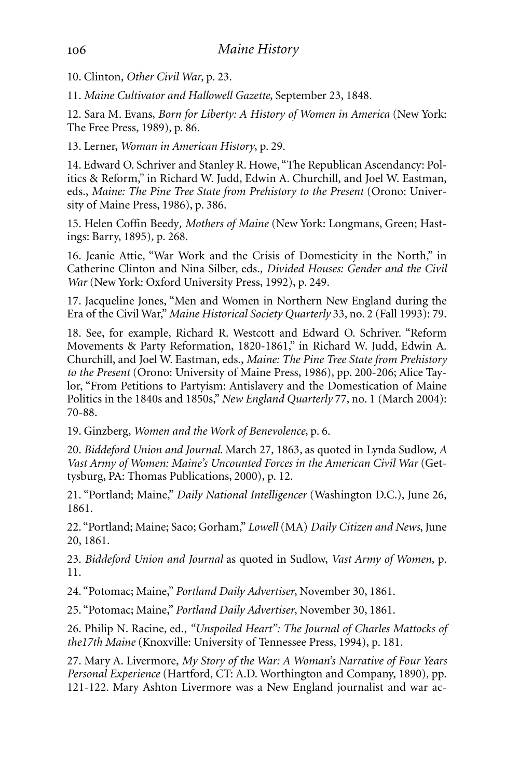10. Clinton, *Other Civil War*, p. 23.

11. *Maine Cultivator and Hallowell Gazette*, September 23, 1848.

12. Sara M. Evans, *Born for Liberty: A History of Women in America* (New York: The Free Press, 1989), p. 86.

13. Lerner, *Woman in American History*, p. 29.

14. Edward O. Schriver and Stanley R. Howe, "The Republican Ascendancy: Politics & Reform," in Richard W. Judd, Edwin A. Churchill, and Joel W. Eastman, eds., *Maine: The Pine Tree State from Prehistory to the Present* (Orono: University of Maine Press, 1986), p. 386.

15. Helen Coffin Beedy*, Mothers of Maine* (New York: Longmans, Green; Hastings: Barry, 1895)*,* p. 268.

16. Jeanie Attie, "War Work and the Crisis of Domesticity in the North," in Catherine Clinton and Nina Silber, eds., *Divided Houses: Gender and the Civil War* (New York: Oxford University Press, 1992), p. 249.

17. Jacqueline Jones, "Men and Women in Northern New England during the Era of the Civil War," *Maine Historical Society Quarterly* 33, no. 2 (Fall 1993): 79.

18. See, for example, Richard R. Westcott and Edward O. Schriver. "Reform Movements & Party Reformation, 1820-1861," in Richard W. Judd, Edwin A. Churchill, and Joel W. Eastman, eds., *Maine: The Pine Tree State from Prehistory to the Present* (Orono: University of Maine Press, 1986), pp. 200-206; Alice Taylor, "From Petitions to Partyism: Antislavery and the Domestication of Maine Politics in the 1840s and 1850s," *New England Quarterly* 77, no. 1 (March 2004): 70-88.

19. Ginzberg, *Women and the Work of Benevolence*, p. 6.

20. *Biddeford Union and Journal*. March 27, 1863, as quoted in Lynda Sudlow, *A Vast Army of Women: Maine's Uncounted Forces in the American Civil War* (Gettysburg, PA: Thomas Publications, 2000)*,* p. 12.

21. "Portland; Maine," *Daily National Intelligencer* (Washington D.C.), June 26, 1861.

22. "Portland; Maine; Saco; Gorham," *Lowell* (MA) *Daily Citizen and News*, June 20, 1861.

23. *Biddeford Union and Journal* as quoted in Sudlow, *Vast Army of Women,* p. 11.

24. "Potomac; Maine," *Portland Daily Advertiser*, November 30, 1861.

25. "Potomac; Maine," *Portland Daily Advertiser*, November 30, 1861.

26. Philip N. Racine, ed., *"Unspoiled Heart": The Journal of Charles Mattocks of the17th Maine* (Knoxville: University of Tennessee Press, 1994), p. 181.

27. Mary A. Livermore, *My Story of the War: A Woman's Narrative of Four Years Personal Experience* (Hartford, CT: A.D. Worthington and Company, 1890), pp. 121-122. Mary Ashton Livermore was a New England journalist and war ac-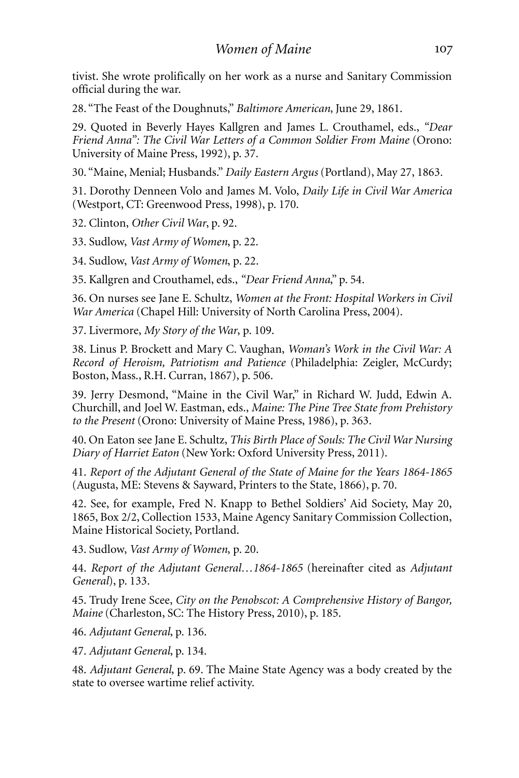tivist. She wrote prolifically on her work as a nurse and Sanitary Commission official during the war.

28. "The Feast of the Doughnuts," *Baltimore American*, June 29, 1861.

29. Quoted in Beverly Hayes Kallgren and James L. Crouthamel, eds., *"Dear Friend Anna": The Civil War Letters of a Common Soldier From Maine* (Orono: University of Maine Press, 1992), p. 37.

30. "Maine, Menial; Husbands." *Daily Eastern Argus* (Portland), May 27, 1863*.*

31. Dorothy Denneen Volo and James M. Volo, *Daily Life in Civil War America* (Westport, CT: Greenwood Press, 1998), p. 170.

32. Clinton, *Other Civil War*, p. 92.

33. Sudlow, *Vast Army of Women*, p. 22.

34. Sudlow, *Vast Army of Women*, p. 22.

35. Kallgren and Crouthamel, eds., *"Dear Friend Anna*," p. 54.

36. On nurses see Jane E. Schultz, *Women at the Front: Hospital Workers in Civil War America* (Chapel Hill: University of North Carolina Press, 2004).

37. Livermore, *My Story of the War*, p. 109.

38. Linus P. Brockett and Mary C. Vaughan, *Woman's Work in the Civil War: A Record of Heroism, Patriotism and Patience* (Philadelphia: Zeigler, McCurdy; Boston, Mass., R.H. Curran, 1867), p. 506.

39. Jerry Desmond, "Maine in the Civil War," in Richard W. Judd, Edwin A. Churchill, and Joel W. Eastman, eds., *Maine: The Pine Tree State from Prehistory to the Present* (Orono: University of Maine Press, 1986), p. 363.

40. On Eaton see Jane E. Schultz, *This Birth Place of Souls: The Civil War Nursing Diary of Harriet Eaton* (New York: Oxford University Press, 2011).

41. *Report of the Adjutant General of the State of Maine for the Years 1864-1865* (Augusta, ME: Stevens & Sayward, Printers to the State, 1866), p. 70.

42. See, for example, Fred N. Knapp to Bethel Soldiers' Aid Society, May 20, 1865, Box 2/2, Collection 1533, Maine Agency Sanitary Commission Collection, Maine Historical Society, Portland.

43. Sudlow, *Vast Army of Women*, p. 20.

44. *Report of the Adjutant General…1864-1865* (hereinafter cited as *Adjutant General*), p. 133.

45. Trudy Irene Scee, *City on the Penobscot: A Comprehensive History of Bangor, Maine* (Charleston, SC: The History Press, 2010), p. 185.

46. *Adjutant General*, p. 136.

47. *Adjutant General*, p. 134.

48. *Adjutant General*, p. 69. The Maine State Agency was a body created by the state to oversee wartime relief activity.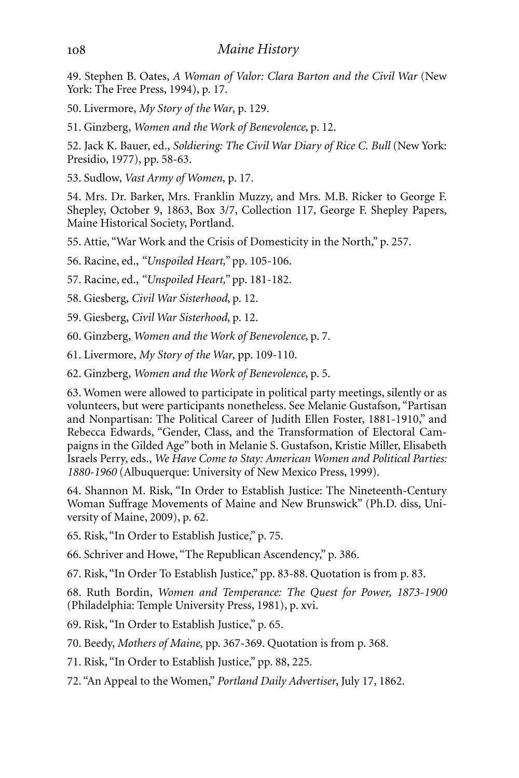49. Stephen B. Oates, *A Woman of Valor: Clara Barton and the Civil War* (New York: The Free Press, 1994), p. 17.

50. Livermore, *My Story of the War*, p. 129.

51. Ginzberg, *Women and the Work of Benevolence*, p. 12.

52. Jack K. Bauer, ed., *Soldiering: The Civil War Diary of Rice C. Bull* (New York: Presidio, 1977), pp. 58-63.

53. Sudlow, *Vast Army of Women*, p. 17.

54. Mrs. Dr. Barker, Mrs. Franklin Muzzy, and Mrs. M.B. Ricker to George F. Shepley, October 9, 1863, Box 3/7, Collection 117, George F. Shepley Papers, Maine Historical Society, Portland.

55. Attie, "War Work and the Crisis of Domesticity in the North," p. 257.

56. Racine, ed., *"Unspoiled Heart,"* pp. 105-106.

57. Racine, ed., *"Unspoiled Heart,"* pp. 181-182.

58. Giesberg*, Civil War Sisterhood*, p. 12.

59. Giesberg, *Civil War Sisterhood*, p. 12.

60. Ginzberg, *Women and the Work of Benevolence*, p. 7.

61. Livermore, *My Story of the War*, pp. 109-110.

62. Ginzberg, *Women and the Work of Benevolence*, p. 5.

63. Women were allowed to participate in political party meetings, silently or as volunteers, but were participants nonetheless. See Melanie Gustafson, "Partisan and Nonpartisan: The Political Career of Judith Ellen Foster, 1881-1910," and Rebecca Edwards, "Gender, Class, and the Transformation of Electoral Campaigns in the Gilded Age" both in Melanie S. Gustafson, Kristie Miller, Elisabeth Israels Perry, eds., *We Have Come to Stay: American Women and Political Parties: 1880-1960* (Albuquerque: University of New Mexico Press, 1999).

64. Shannon M. Risk, "In Order to Establish Justice: The Nineteenth-Century Woman Suffrage Movements of Maine and New Brunswick" (Ph.D. diss, University of Maine, 2009), p. 62.

65. Risk, "In Order to Establish Justice," p. 75.

66. Schriver and Howe, "The Republican Ascendency," p. 386.

67. Risk, "In Order To Establish Justice," pp. 83-88. Quotation is from p. 83.

68. Ruth Bordin, *Women and Temperance: The Quest for Power, 1873-1900* (Philadelphia: Temple University Press, 1981), p. xvi.

69. Risk, "In Order to Establish Justice," p. 65.

70. Beedy, *Mothers of Maine*, pp. 367-369. Quotation is from p. 368.

71. Risk, "In Order to Establish Justice," pp. 88, 225.

72. "An Appeal to the Women," *Portland Daily Advertiser*, July 17, 1862.